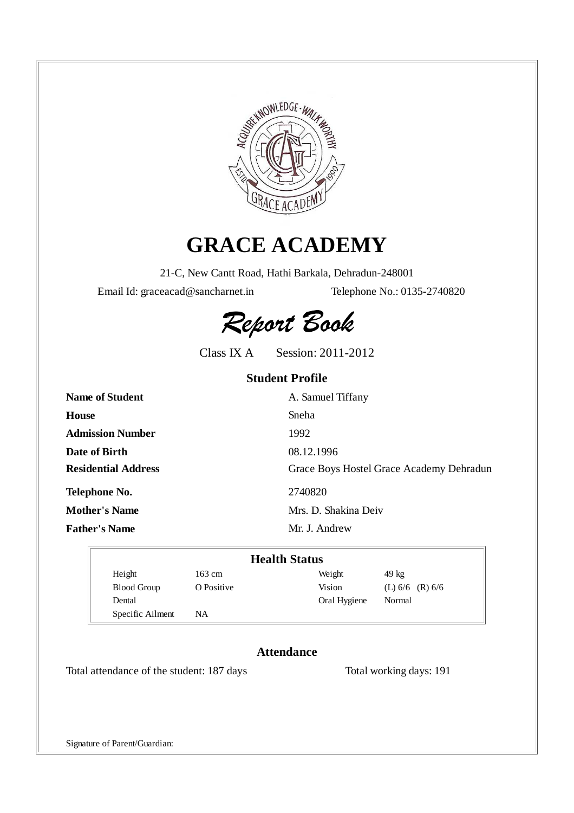

# **GRACE ACADEMY**

21-C, New Cantt Road, Hathi Barkala, Dehradun-248001

Email Id: graceacad@sancharnet.in Telephone No.: 0135-2740820



Class IX A Session: 2011-2012

### **Student Profile**

| <b>Name of Student</b>     | A. Samuel Tiffany                        |
|----------------------------|------------------------------------------|
| House                      | Sneha                                    |
| <b>Admission Number</b>    | 1992                                     |
| Date of Birth              | 08.12.1996                               |
| <b>Residential Address</b> | Grace Boys Hostel Grace Academy Dehradun |
| Telephone No.              | 2740820                                  |
| <b>Mother's Name</b>       | Mrs. D. Shakina Deiv                     |
| <b>Father's Name</b>       | Mr. J. Andrew                            |

| <b>Health Status</b> |            |              |                     |  |  |  |  |  |
|----------------------|------------|--------------|---------------------|--|--|--|--|--|
| Height               | 163 cm     | Weight       | $49 \text{ kg}$     |  |  |  |  |  |
| <b>Blood Group</b>   | O Positive | Vision       | (L) $6/6$ (R) $6/6$ |  |  |  |  |  |
| Dental               |            | Oral Hygiene | Normal              |  |  |  |  |  |
| Specific Ailment     | NA         |              |                     |  |  |  |  |  |

### **Attendance**

Total attendance of the student: 187 days Total working days: 191

Signature of Parent/Guardian: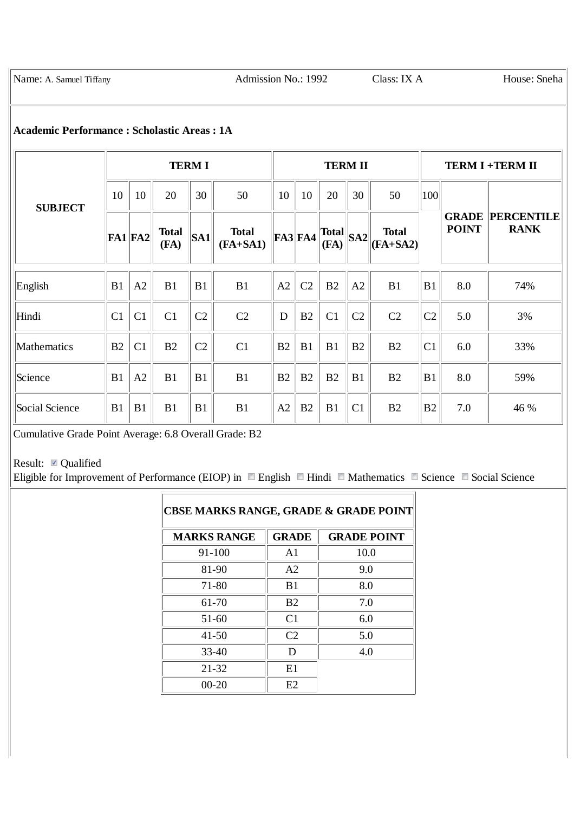Name: A. Samuel Tiffany Admission No.: 1992 Class: IX A House: Sneha

#### **Academic Performance : Scholastic Areas : 1A**

|                | <b>TERMI</b>   |                |                      |                |                            | <b>TERM II</b> |                |                      |     |                            | <b>TERM I +TERM II</b> |              |                                        |
|----------------|----------------|----------------|----------------------|----------------|----------------------------|----------------|----------------|----------------------|-----|----------------------------|------------------------|--------------|----------------------------------------|
| <b>SUBJECT</b> | 10             | 10             | 20                   | 30             | 50                         | 10             | 10             | 20                   | 30  | 50                         | 100                    |              |                                        |
|                | $FA1$ FA2      |                | <b>Total</b><br>(FA) | <b>SA1</b>     | <b>Total</b><br>$(FA+SA1)$ | $FA3$ FA4      |                | <b>Total</b><br>(FA) | SA2 | <b>Total</b><br>$(FA+SA2)$ |                        | <b>POINT</b> | <b>GRADE PERCENTILE</b><br><b>RANK</b> |
| English        | B1             | A2             | B1                   | B <sub>1</sub> | B1                         | A2             | C <sub>2</sub> | B2                   | A2  | B1                         | B1                     | 8.0          | 74%                                    |
| Hindi          | C <sub>1</sub> | C1             | C <sub>1</sub>       | C <sub>2</sub> | C <sub>2</sub>             | D              | B2             | C <sub>1</sub>       | C2  | C2                         | C <sub>2</sub>         | 5.0          | 3%                                     |
| Mathematics    | B <sub>2</sub> | C <sub>1</sub> | B2                   | C <sub>2</sub> | C <sub>1</sub>             | B2             | B1             | B1                   | B2  | B2                         | C <sub>1</sub>         | 6.0          | 33%                                    |
| Science        | B1             | A2             | B1                   | B1             | B1                         | B2             | B2             | B2                   | B1  | B2                         | B1                     | 8.0          | 59%                                    |
| Social Science | B1             | B1             | B1                   | B1             | B1                         | A2             | B2             | B1                   | C1  | B2                         | B <sub>2</sub>         | 7.0          | 46 %                                   |

Cumulative Grade Point Average: 6.8 Overall Grade: B2

## Result: Qualified

Eligible for Improvement of Performance (EIOP) in  $\Box$  English  $\Box$  Hindi  $\Box$  Mathematics  $\Box$  Science  $\Box$  Social Science

| <b>CBSE MARKS RANGE, GRADE &amp; GRADE POINT</b> |                |                    |
|--------------------------------------------------|----------------|--------------------|
| <b>MARKS RANGE</b>                               | <b>GRADE</b>   | <b>GRADE POINT</b> |
| 91-100                                           | A1             | 10.0               |
| 81-90                                            | A <sub>2</sub> | 9.0                |
| 71-80                                            | B <sub>1</sub> | 8.0                |
| 61-70                                            | B <sub>2</sub> | 7.0                |
| $51-60$                                          | C1             | 6.0                |
| 41-50                                            | C <sub>2</sub> | 5.0                |
| $33 - 40$                                        | D              | 4.0                |
| 21-32                                            | E1             |                    |
| $00 - 20$                                        | E2             |                    |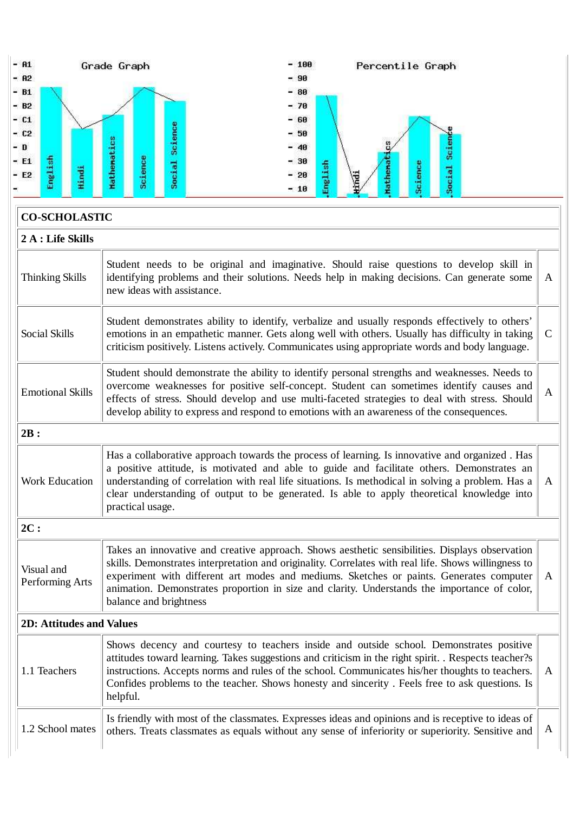